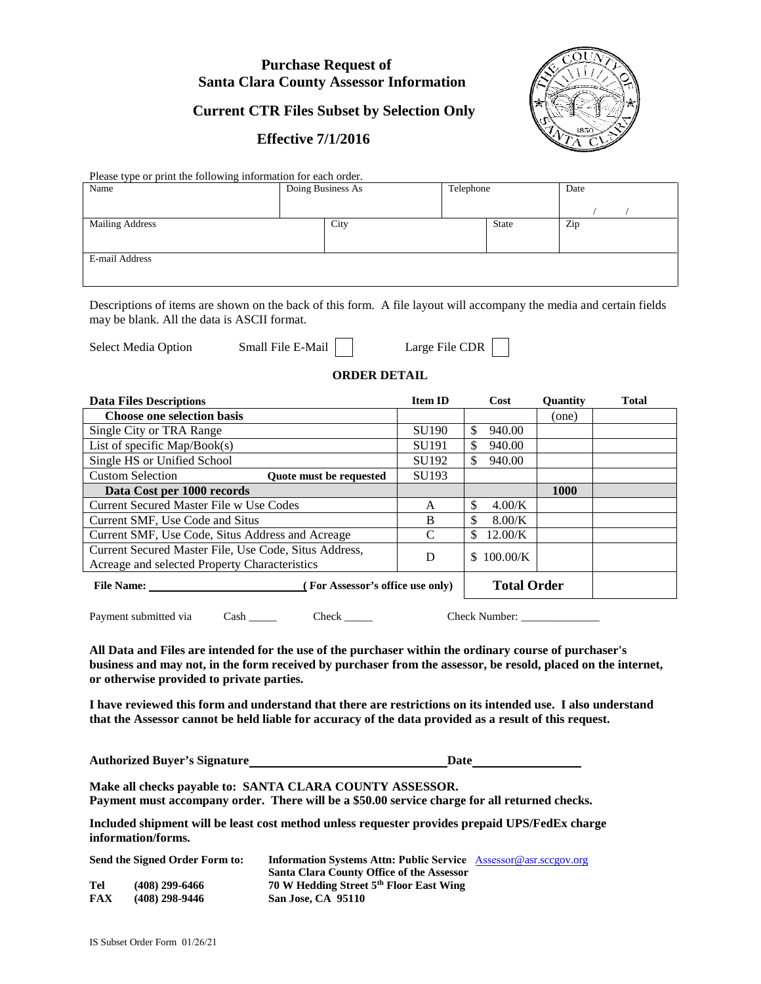### **Purchase Request of Santa Clara County Assessor Information**

# **Current CTR Files Subset by Selection Only**

### **Effective 7/1/2016**



Please type or print the following information for each order.

| Name                   | Doing Business As | Telephone | Date |
|------------------------|-------------------|-----------|------|
|                        |                   |           |      |
| <b>Mailing Address</b> | City              | State     | Zip  |
|                        |                   |           |      |
| E-mail Address         |                   |           |      |
|                        |                   |           |      |

Descriptions of items are shown on the back of this form. A file layout will accompany the media and certain fields may be blank. All the data is ASCII format.

Select Media Option Small File E-Mail | Large File CDR

#### **ORDER DETAIL**

| <b>Data Files Descriptions</b>                                                                         | <b>Item ID</b>                   | Cost               | <b>Ouantity</b>    | <b>Total</b> |
|--------------------------------------------------------------------------------------------------------|----------------------------------|--------------------|--------------------|--------------|
| <b>Choose one selection basis</b>                                                                      |                                  |                    | (one)              |              |
| Single City or TRA Range                                                                               | <b>SU190</b>                     | \$<br>940.00       |                    |              |
| List of specific $Map/Book(s)$                                                                         | SU <sub>191</sub>                | 940.00<br>\$       |                    |              |
| Single HS or Unified School                                                                            | SU192                            | \$<br>940.00       |                    |              |
| <b>Custom Selection</b><br>Quote must be requested                                                     | SU193                            |                    |                    |              |
| Data Cost per 1000 records                                                                             |                                  |                    | 1000               |              |
| Current Secured Master File w Use Codes                                                                | A                                | \$<br>4.00/K       |                    |              |
| Current SMF, Use Code and Situs                                                                        | B                                | \$<br>$8.00$ /K    |                    |              |
| Current SMF, Use Code, Situs Address and Acreage                                                       | C                                | \$<br>12.00/K      |                    |              |
| Current Secured Master File, Use Code, Situs Address,<br>Acreage and selected Property Characteristics | D                                | $100.00$ /K<br>\$. |                    |              |
| <b>File Name:</b>                                                                                      | (For Assessor's office use only) |                    | <b>Total Order</b> |              |

Payment submitted via Cash Check Check Check Number:

**All Data and Files are intended for the use of the purchaser within the ordinary course of purchaser's business and may not, in the form received by purchaser from the assessor, be resold, placed on the internet, or otherwise provided to private parties.**

**I have reviewed this form and understand that there are restrictions on its intended use. I also understand that the Assessor cannot be held liable for accuracy of the data provided as a result of this request.**

Authorized Buyer's Signature **Mathorized Buyer's Signature Date Date Date Date Date Date Date Date Date Date Date Date Date Date Date Date Date Date Date Date**

**Make all checks payable to: SANTA CLARA COUNTY ASSESSOR.** 

**Payment must accompany order. There will be a \$50.00 service charge for all returned checks.**

**Included shipment will be least cost method unless requester provides prepaid UPS/FedEx charge information/forms.**

| Send the Signed Order Form to: |                  | <b>Information Systems Attn: Public Service Assessor@asr.sccgov.org</b> |  |  |  |
|--------------------------------|------------------|-------------------------------------------------------------------------|--|--|--|
|                                |                  | Santa Clara County Office of the Assessor                               |  |  |  |
| Tel                            | $(408)$ 299-6466 | 70 W Hedding Street 5 <sup>th</sup> Floor East Wing                     |  |  |  |
| FAX                            | $(408)$ 298-9446 | San Jose, CA 95110                                                      |  |  |  |